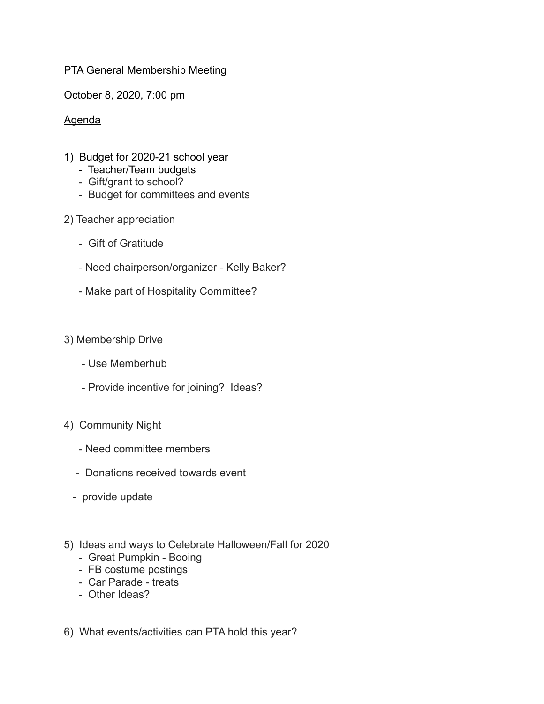## PTA General Membership Meeting

October 8, 2020, 7:00 pm

## Agenda

- 1) Budget for 2020-21 school year
	- Teacher/Team budgets
	- Gift/grant to school?
	- Budget for committees and events
- 2) Teacher appreciation
	- Gift of Gratitude
	- Need chairperson/organizer Kelly Baker?
	- Make part of Hospitality Committee?

## 3) Membership Drive

- Use Memberhub
- Provide incentive for joining? Ideas?
- 4) Community Night
	- Need committee members
	- Donations received towards event
	- provide update
- 5) Ideas and ways to Celebrate Halloween/Fall for 2020
	- Great Pumpkin Booing
	- FB costume postings
	- Car Parade treats
	- Other Ideas?

6) What events/activities can PTA hold this year?